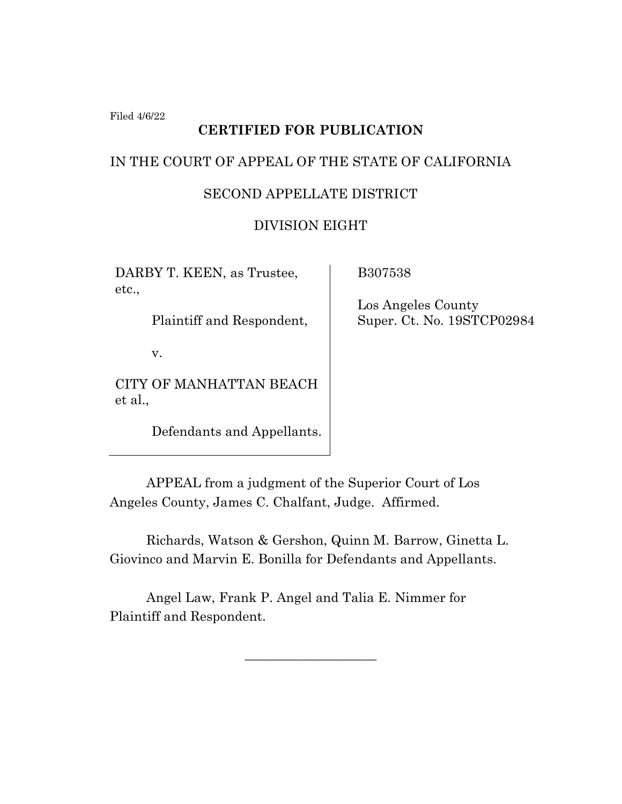Filed 4/6/22

# **CERTIFIED FOR PUBLICATION**

#### IN THE COURT OF APPEAL OF THE STATE OF CALIFORNIA

## SECOND APPELLATE DISTRICT

## DIVISION EIGHT

DARBY T. KEEN, as Trustee, etc.,

Plaintiff and Respondent,

v.

CITY OF MANHATTAN BEACH et al.,

Defendants and Appellants.

B307538

 Los Angeles County Super. Ct. No. 19STCP02984

APPEAL from a judgment of the Superior Court of Los Angeles County, James C. Chalfant, Judge. Affirmed.

Richards, Watson & Gershon, Quinn M. Barrow, Ginetta L. Giovinco and Marvin E. Bonilla for Defendants and Appellants.

 $\overline{\phantom{a}}$  , where  $\overline{\phantom{a}}$  , where  $\overline{\phantom{a}}$  , where  $\overline{\phantom{a}}$  ,  $\overline{\phantom{a}}$  ,  $\overline{\phantom{a}}$  ,  $\overline{\phantom{a}}$  ,  $\overline{\phantom{a}}$  ,  $\overline{\phantom{a}}$  ,  $\overline{\phantom{a}}$  ,  $\overline{\phantom{a}}$  ,  $\overline{\phantom{a}}$  ,  $\overline{\phantom{a}}$  ,  $\overline{\phantom{a}}$  ,  $\overline{\phantom$ 

Angel Law, Frank P. Angel and Talia E. Nimmer for Plaintiff and Respondent.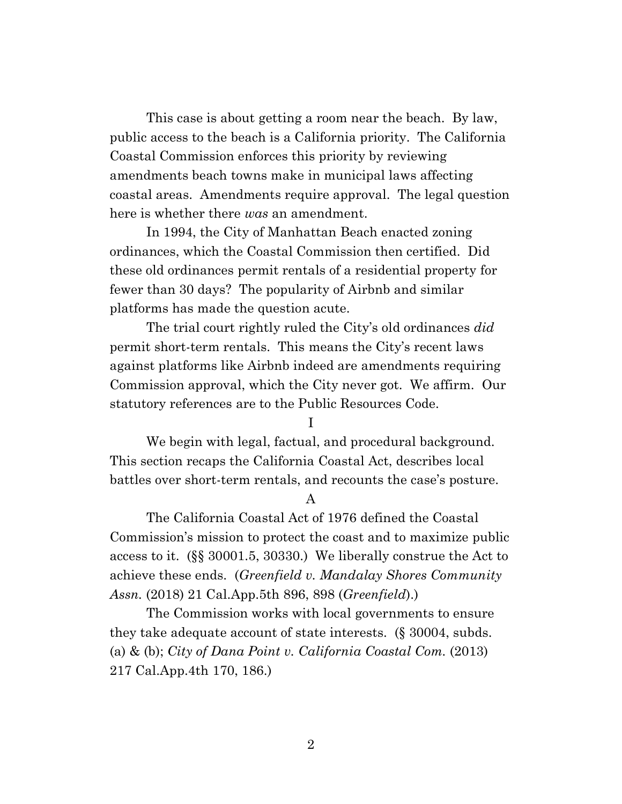This case is about getting a room near the beach. By law, public access to the beach is a California priority. The California Coastal Commission enforces this priority by reviewing amendments beach towns make in municipal laws affecting coastal areas. Amendments require approval. The legal question here is whether there *was* an amendment.

In 1994, the City of Manhattan Beach enacted zoning ordinances, which the Coastal Commission then certified. Did these old ordinances permit rentals of a residential property for fewer than 30 days? The popularity of Airbnb and similar platforms has made the question acute.

The trial court rightly ruled the City's old ordinances *did* permit short-term rentals. This means the City's recent laws against platforms like Airbnb indeed are amendments requiring Commission approval, which the City never got. We affirm. Our statutory references are to the Public Resources Code.

I

We begin with legal, factual, and procedural background. This section recaps the California Coastal Act, describes local battles over short-term rentals, and recounts the case's posture.

A

The California Coastal Act of 1976 defined the Coastal Commission's mission to protect the coast and to maximize public access to it. (§§ 30001.5, 30330.) We liberally construe the Act to achieve these ends. (*Greenfield v. Mandalay Shores Community Assn.* (2018) 21 Cal.App.5th 896, 898 (*Greenfield*).)

The Commission works with local governments to ensure they take adequate account of state interests. (§ 30004, subds. (a) & (b); *City of Dana Point v. California Coastal Com.* (2013) 217 Cal.App.4th 170, 186.)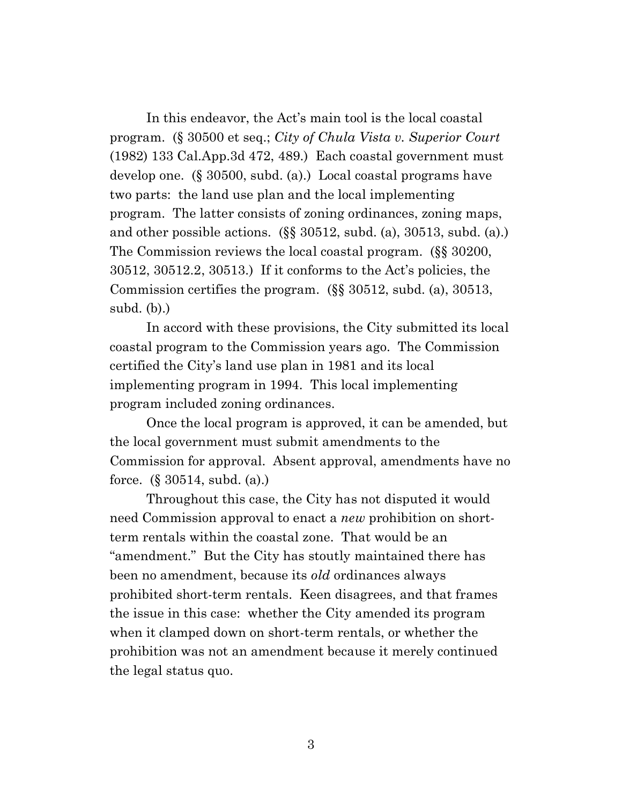In this endeavor, the Act's main tool is the local coastal program. (§ 30500 et seq.; *City of Chula Vista v. Superior Court* (1982) 133 Cal.App.3d 472, 489.) Each coastal government must develop one. (§ 30500, subd. (a).) Local coastal programs have two parts: the land use plan and the local implementing program. The latter consists of zoning ordinances, zoning maps, and other possible actions. (§§ 30512, subd. (a), 30513, subd. (a).) The Commission reviews the local coastal program. (§§ 30200, 30512, 30512.2, 30513.) If it conforms to the Act's policies, the Commission certifies the program. (§§ 30512, subd. (a), 30513, subd. (b).)

In accord with these provisions, the City submitted its local coastal program to the Commission years ago. The Commission certified the City's land use plan in 1981 and its local implementing program in 1994. This local implementing program included zoning ordinances.

Once the local program is approved, it can be amended, but the local government must submit amendments to the Commission for approval. Absent approval, amendments have no force. (§ 30514, subd. (a).)

Throughout this case, the City has not disputed it would need Commission approval to enact a *new* prohibition on shortterm rentals within the coastal zone. That would be an "amendment." But the City has stoutly maintained there has been no amendment, because its *old* ordinances always prohibited short-term rentals. Keen disagrees, and that frames the issue in this case: whether the City amended its program when it clamped down on short-term rentals, or whether the prohibition was not an amendment because it merely continued the legal status quo.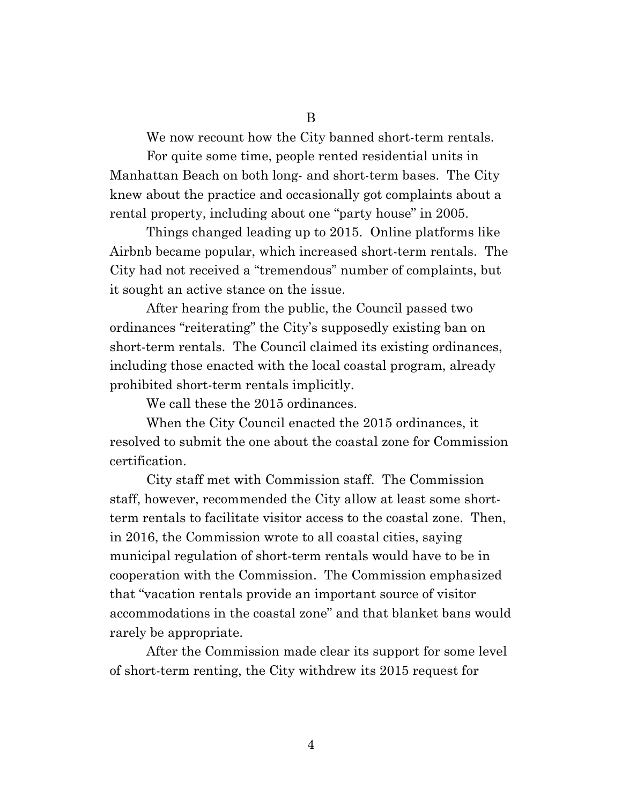We now recount how the City banned short-term rentals.

For quite some time, people rented residential units in Manhattan Beach on both long- and short-term bases. The City knew about the practice and occasionally got complaints about a rental property, including about one "party house" in 2005.

Things changed leading up to 2015. Online platforms like Airbnb became popular, which increased short-term rentals. The City had not received a "tremendous" number of complaints, but it sought an active stance on the issue.

After hearing from the public, the Council passed two ordinances "reiterating" the City's supposedly existing ban on short-term rentals. The Council claimed its existing ordinances, including those enacted with the local coastal program, already prohibited short-term rentals implicitly.

We call these the 2015 ordinances.

When the City Council enacted the 2015 ordinances, it resolved to submit the one about the coastal zone for Commission certification.

City staff met with Commission staff. The Commission staff, however, recommended the City allow at least some shortterm rentals to facilitate visitor access to the coastal zone. Then, in 2016, the Commission wrote to all coastal cities, saying municipal regulation of short-term rentals would have to be in cooperation with the Commission. The Commission emphasized that "vacation rentals provide an important source of visitor accommodations in the coastal zone" and that blanket bans would rarely be appropriate.

After the Commission made clear its support for some level of short-term renting, the City withdrew its 2015 request for

4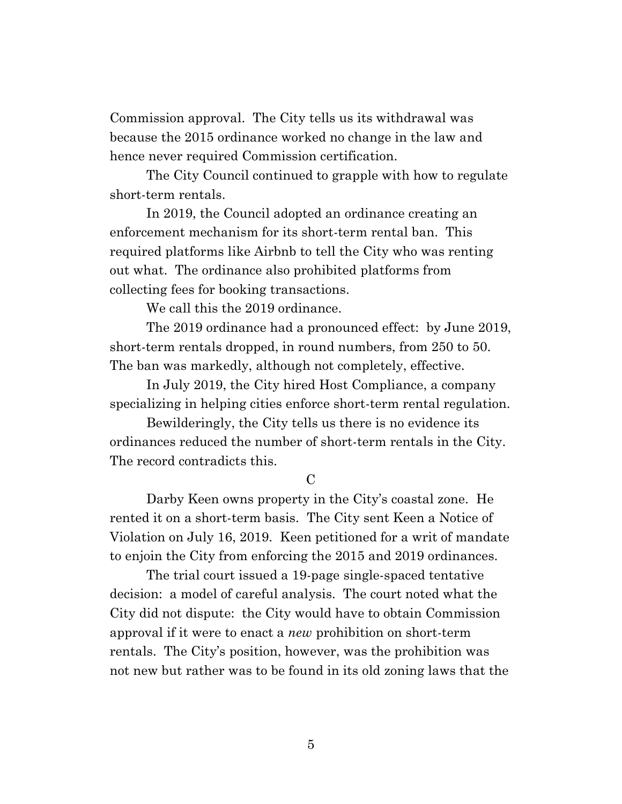Commission approval. The City tells us its withdrawal was because the 2015 ordinance worked no change in the law and hence never required Commission certification.

The City Council continued to grapple with how to regulate short-term rentals.

In 2019, the Council adopted an ordinance creating an enforcement mechanism for its short-term rental ban. This required platforms like Airbnb to tell the City who was renting out what. The ordinance also prohibited platforms from collecting fees for booking transactions.

We call this the 2019 ordinance.

The 2019 ordinance had a pronounced effect: by June 2019, short-term rentals dropped, in round numbers, from 250 to 50. The ban was markedly, although not completely, effective.

In July 2019, the City hired Host Compliance, a company specializing in helping cities enforce short-term rental regulation.

Bewilderingly, the City tells us there is no evidence its ordinances reduced the number of short-term rentals in the City. The record contradicts this.

 $\mathcal{C}$ 

Darby Keen owns property in the City's coastal zone. He rented it on a short-term basis. The City sent Keen a Notice of Violation on July 16, 2019. Keen petitioned for a writ of mandate to enjoin the City from enforcing the 2015 and 2019 ordinances.

The trial court issued a 19-page single-spaced tentative decision: a model of careful analysis. The court noted what the City did not dispute: the City would have to obtain Commission approval if it were to enact a *new* prohibition on short-term rentals. The City's position, however, was the prohibition was not new but rather was to be found in its old zoning laws that the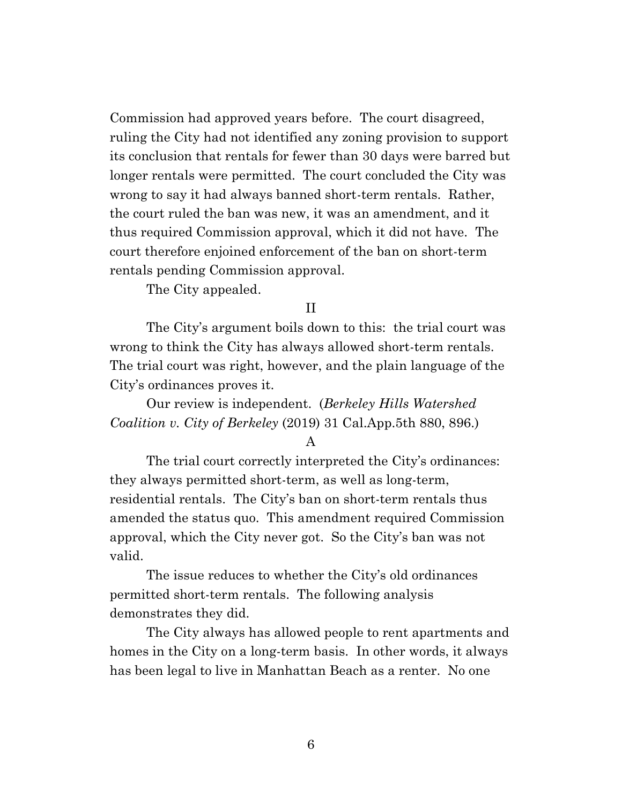Commission had approved years before. The court disagreed, ruling the City had not identified any zoning provision to support its conclusion that rentals for fewer than 30 days were barred but longer rentals were permitted. The court concluded the City was wrong to say it had always banned short-term rentals. Rather, the court ruled the ban was new, it was an amendment, and it thus required Commission approval, which it did not have. The court therefore enjoined enforcement of the ban on short-term rentals pending Commission approval.

The City appealed.

### II

The City's argument boils down to this: the trial court was wrong to think the City has always allowed short-term rentals. The trial court was right, however, and the plain language of the City's ordinances proves it.

Our review is independent. (*Berkeley Hills Watershed Coalition v. City of Berkeley* (2019) 31 Cal.App.5th 880, 896.)

#### A

The trial court correctly interpreted the City's ordinances: they always permitted short-term, as well as long-term, residential rentals. The City's ban on short-term rentals thus amended the status quo. This amendment required Commission approval, which the City never got. So the City's ban was not valid.

The issue reduces to whether the City's old ordinances permitted short-term rentals. The following analysis demonstrates they did.

The City always has allowed people to rent apartments and homes in the City on a long-term basis. In other words, it always has been legal to live in Manhattan Beach as a renter. No one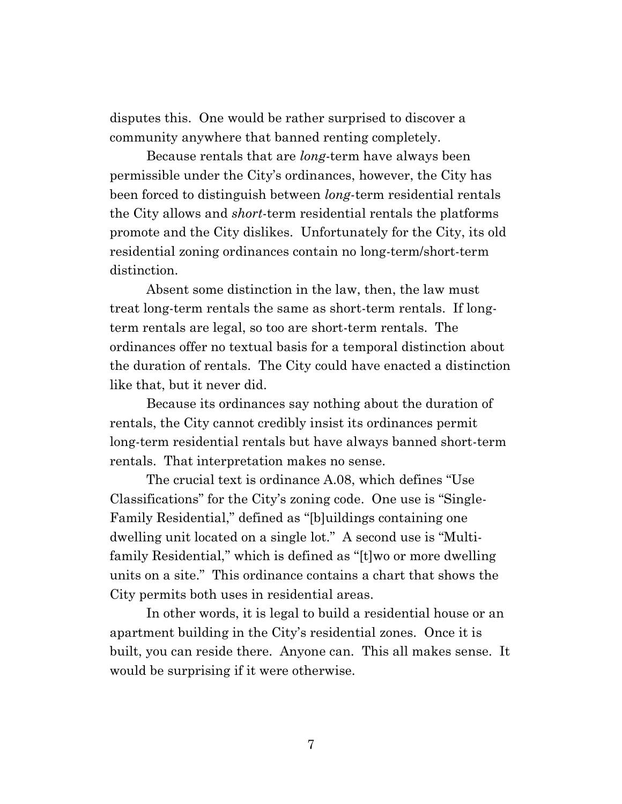disputes this. One would be rather surprised to discover a community anywhere that banned renting completely.

Because rentals that are *long*-term have always been permissible under the City's ordinances, however, the City has been forced to distinguish between *long*-term residential rentals the City allows and *short*-term residential rentals the platforms promote and the City dislikes. Unfortunately for the City, its old residential zoning ordinances contain no long-term/short-term distinction.

Absent some distinction in the law, then, the law must treat long-term rentals the same as short-term rentals. If longterm rentals are legal, so too are short-term rentals. The ordinances offer no textual basis for a temporal distinction about the duration of rentals. The City could have enacted a distinction like that, but it never did.

Because its ordinances say nothing about the duration of rentals, the City cannot credibly insist its ordinances permit long-term residential rentals but have always banned short-term rentals. That interpretation makes no sense.

The crucial text is ordinance A.08, which defines "Use Classifications" for the City's zoning code. One use is "Single-Family Residential," defined as "[b]uildings containing one dwelling unit located on a single lot." A second use is "Multifamily Residential," which is defined as "[t]wo or more dwelling units on a site." This ordinance contains a chart that shows the City permits both uses in residential areas.

In other words, it is legal to build a residential house or an apartment building in the City's residential zones. Once it is built, you can reside there. Anyone can. This all makes sense. It would be surprising if it were otherwise.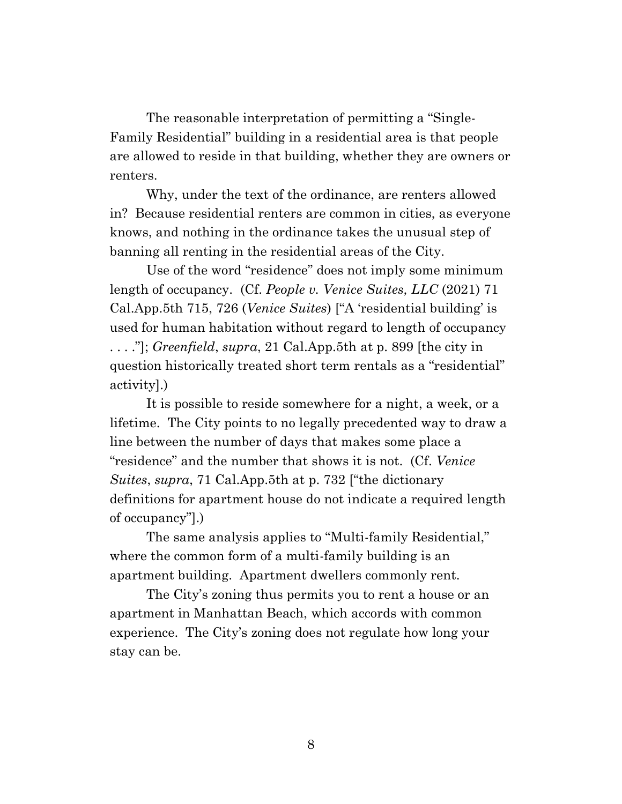The reasonable interpretation of permitting a "Single-Family Residential" building in a residential area is that people are allowed to reside in that building, whether they are owners or renters.

Why, under the text of the ordinance, are renters allowed in? Because residential renters are common in cities, as everyone knows, and nothing in the ordinance takes the unusual step of banning all renting in the residential areas of the City.

Use of the word "residence" does not imply some minimum length of occupancy. (Cf. *People v. Venice Suites, LLC* (2021) 71 Cal.App.5th 715, 726 (*Venice Suites*) ["A 'residential building' is used for human habitation without regard to length of occupancy . . . ."]; *Greenfield*, *supra*, 21 Cal.App.5th at p. 899 [the city in question historically treated short term rentals as a "residential" activity].)

It is possible to reside somewhere for a night, a week, or a lifetime. The City points to no legally precedented way to draw a line between the number of days that makes some place a "residence" and the number that shows it is not. (Cf. *Venice Suites*, *supra*, 71 Cal.App.5th at p. 732 ["the dictionary definitions for apartment house do not indicate a required length of occupancy"].)

The same analysis applies to "Multi-family Residential," where the common form of a multi-family building is an apartment building. Apartment dwellers commonly rent.

The City's zoning thus permits you to rent a house or an apartment in Manhattan Beach, which accords with common experience. The City's zoning does not regulate how long your stay can be.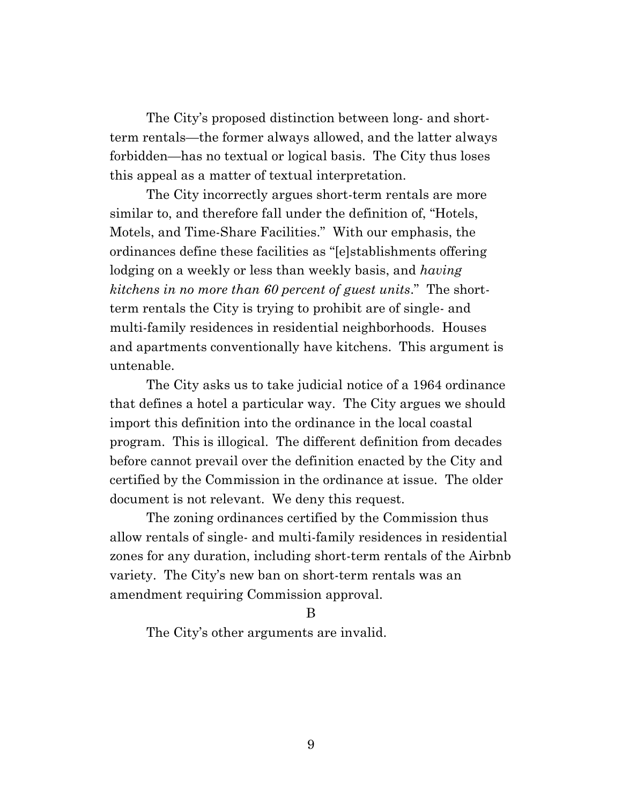The City's proposed distinction between long- and shortterm rentals—the former always allowed, and the latter always forbidden—has no textual or logical basis. The City thus loses this appeal as a matter of textual interpretation.

The City incorrectly argues short-term rentals are more similar to, and therefore fall under the definition of, "Hotels, Motels, and Time-Share Facilities." With our emphasis, the ordinances define these facilities as "[e]stablishments offering lodging on a weekly or less than weekly basis, and *having kitchens in no more than 60 percent of guest units*." The shortterm rentals the City is trying to prohibit are of single- and multi-family residences in residential neighborhoods. Houses and apartments conventionally have kitchens. This argument is untenable.

The City asks us to take judicial notice of a 1964 ordinance that defines a hotel a particular way. The City argues we should import this definition into the ordinance in the local coastal program. This is illogical. The different definition from decades before cannot prevail over the definition enacted by the City and certified by the Commission in the ordinance at issue. The older document is not relevant. We deny this request.

The zoning ordinances certified by the Commission thus allow rentals of single- and multi-family residences in residential zones for any duration, including short-term rentals of the Airbnb variety. The City's new ban on short-term rentals was an amendment requiring Commission approval.

#### B

The City's other arguments are invalid.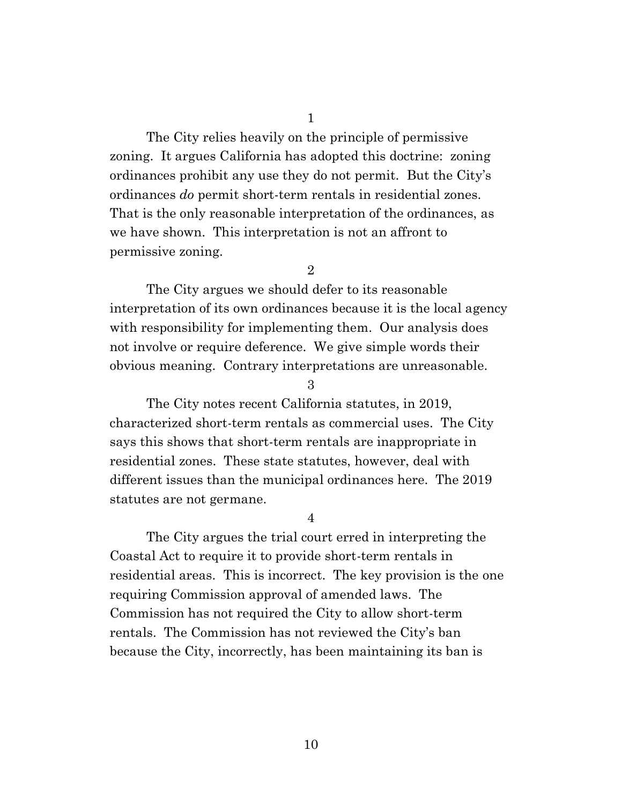The City relies heavily on the principle of permissive zoning. It argues California has adopted this doctrine: zoning ordinances prohibit any use they do not permit. But the City's ordinances *do* permit short-term rentals in residential zones. That is the only reasonable interpretation of the ordinances, as we have shown. This interpretation is not an affront to permissive zoning.

2

The City argues we should defer to its reasonable interpretation of its own ordinances because it is the local agency with responsibility for implementing them. Our analysis does not involve or require deference. We give simple words their obvious meaning. Contrary interpretations are unreasonable.

3

The City notes recent California statutes, in 2019, characterized short-term rentals as commercial uses. The City says this shows that short-term rentals are inappropriate in residential zones. These state statutes, however, deal with different issues than the municipal ordinances here. The 2019 statutes are not germane.

4

The City argues the trial court erred in interpreting the Coastal Act to require it to provide short-term rentals in residential areas. This is incorrect. The key provision is the one requiring Commission approval of amended laws. The Commission has not required the City to allow short-term rentals. The Commission has not reviewed the City's ban because the City, incorrectly, has been maintaining its ban is

10